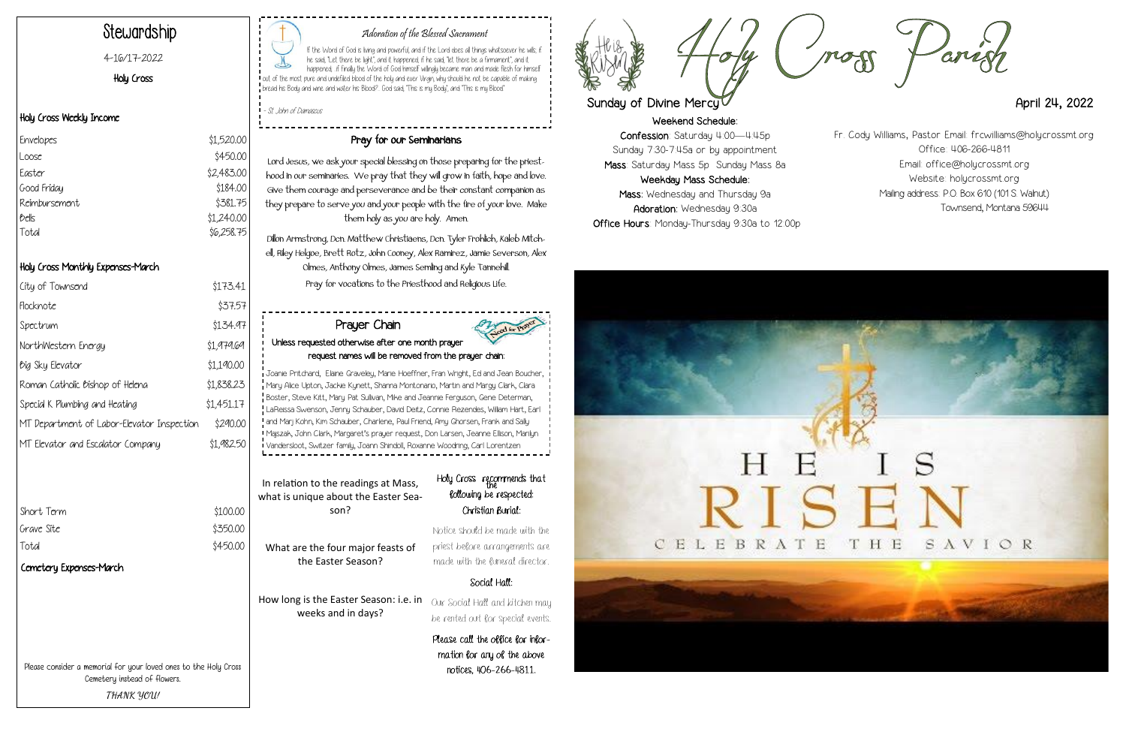Weekend Schedule: Confession: Saturday 4:00—4:45p Sunday 7:30-7:45a or by appointment Mass: Saturday Mass 5p Sunday Mass 8a Weekday Mass Schedule: Mass: Wednesday and Thursday 9a Adoration: Wednesday 9:30a Office Hours: Monday-Thursday 9:30a to 12:00p





#### Adoration of the Blessed Sacrament

If the Word of God is living and powerful, and if the Lord does all things whatsoever he wills; if he said, "Let there be light", and it happened; if he said, "let there be a firmament", and it happened; ..if finally the Word of God himself willingly became man and made flesh for himself out of the most pure and undefiled blood of the holy and ever Virgin, why should he not be capable of making bread his Body and wine and water his Blood?.. God said, "This is my Body", and "This is my Blood."

- St. John of Damascus

## Stewardship

#### 4-16/17-2022

#### Holy Cross

#### Holy Cross Weekly Income

#### Holy Cross Monthly Expenses-March

| City of Townsend                           | \$173.41   |
|--------------------------------------------|------------|
| Flocknote                                  | \$37.57    |
| Spectrum                                   | \$134.97   |
| NorthWestern Energy                        | \$1,979.69 |
| <i><b><i>Dig</i></b></i> Sky Elevator      | \$1,190.00 |
| Roman Catholic Bishop of Helena            | \$1,838.23 |
| Special K Plumbing and Heating             | \$1,451.17 |
| MT Department of Labor-Elevator Inspection | \$290.00   |
| MT Elevator and Escalator Company          | \$1.982.50 |

| Short Term |  |  |
|------------|--|--|
| Grave Site |  |  |
| Total      |  |  |
|            |  |  |

\$100.00 \$350.00 \$450.00

#### Pray for our Seminarians

all and kitchen may be rented out for special events.

Lord Jesus, we ask your special blessing on those preparing for the priesthood in our seminaries. We pray that they will grow in faith, hope and love. Give them courage and perseverance and be their constant companion as they prepare to serve you and your people with the fire of your love. Make them holy as you are holy. Amen.

Dillon Armstrong, Dcn. Matthew Christiaens, Dcn. Tyler Frohlich, Kaleb Mitchell, Riley Helgoe, Brett Rotz, John Cooney, Alex Ramirez, Jamie Severson, Alex Olmes, Anthony Olmes, James Semling and Kyle Tannehill. Pray for vocations to the Priesthood and Religious Life.

| Envelopes     | \$1,520.00 |
|---------------|------------|
| Loose         | \$450.00   |
| Easter        | \$2,483.00 |
| Good Friday   | \$184.00   |
| Reimbursement | \$381.75   |
| bells         | \$1,240.00 |
| Total         | \$6,258.75 |
|               |            |

Please consider a memorial for your loved ones to the Holy Cross Cemetery instead of flowers. **THANK YOU!**

| In relation to the readings at Mass,<br>what is unique about the Easter Sea-<br>son? | Holy Cross<br><b><i><u>following</u></i></b><br>Chris: |
|--------------------------------------------------------------------------------------|--------------------------------------------------------|
| What are the four major feasts of<br>the Easter Season?                              | Notice should<br>priest before<br>made with th         |
|                                                                                      | δοι                                                    |
| How long is the Easter Season: i.e. in                                               | Our Social Ho                                          |

weeks and in days?

### recommends that be respected: tian Burial:

be made with the arrangements are he funeral director.

#### cial Hall:

Please call the office for information for any of the above notices, 406-266-4811.



# Sunday of Divine Mercy April 24, 2022

#### Prayer Chain Unless requested otherwise after one month prayer request names will be removed from the prayer chain:

Joanie Pritchard, Elaine Graveley, Marie Hoeffner, Fran Wright, Ed and Jean Boucher, Mary Alice Upton, Jackie Kynett, Shanna Montonario, Martin and Margy Clark, Clara Boster, Steve Kitt, Mary Pat Sullivan, Mike and Jeannie Ferguson, Gene Determan, LaReissa Swenson, Jenny Schauber, David Deitz, Connie Rezendes, William Hart, Earl and Marj Kohn, Kim Schauber, Charlene, Paul Friend, Amy Ghorsen, Frank and Sally Majszak, John Clark, Margaret's prayer request, Don Larsen, Jeanne Ellison, Marilyn Vandersloot, Switzer family, Joann Shindoll, Roxanne Woodring, Carl Lorentzen

Fr. Cody Williams, Pastor Email: frcwilliams@holycrossmt.org Office: 406-266-4811 Email: office@holycrossmt.org Website: holycrossmt.org Mailing address: P.O. Box 610 (101 S. Walnut) Townsend, Montana 59644

#### Cemetery Expenses-March